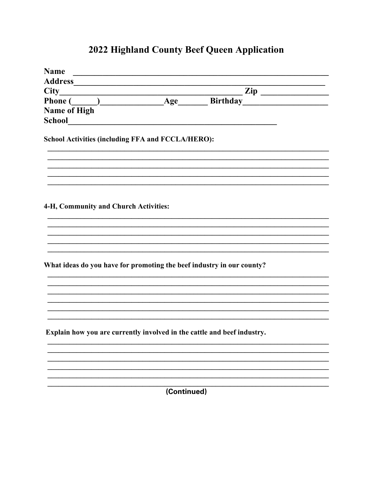# 2022 Highland County Beef Queen Application

| <b>Name</b><br><u> 1989 - Jan Barbara, manazarta bashkar ta shekara ta 1989 - Andrea San A</u> |  |  |                |
|------------------------------------------------------------------------------------------------|--|--|----------------|
|                                                                                                |  |  |                |
| $City_$                                                                                        |  |  | $\mathbf{Zip}$ |
| City<br>Phone ( ) Age Birthday<br>2ip                                                          |  |  |                |
| <b>Name of High</b>                                                                            |  |  |                |
| <b>School</b>                                                                                  |  |  |                |
| School Activities (including FFA and FCCLA/HERO):                                              |  |  |                |
|                                                                                                |  |  |                |
| 4-H, Community and Church Activities:                                                          |  |  |                |
|                                                                                                |  |  |                |
|                                                                                                |  |  |                |
|                                                                                                |  |  |                |
|                                                                                                |  |  |                |
| What ideas do you have for promoting the beef industry in our county?                          |  |  |                |
|                                                                                                |  |  |                |
|                                                                                                |  |  |                |
|                                                                                                |  |  |                |
|                                                                                                |  |  |                |
| Explain how you are currently involved in the cattle and beef industry.                        |  |  |                |
|                                                                                                |  |  |                |
|                                                                                                |  |  |                |
|                                                                                                |  |  |                |
|                                                                                                |  |  |                |
| (Continued)                                                                                    |  |  |                |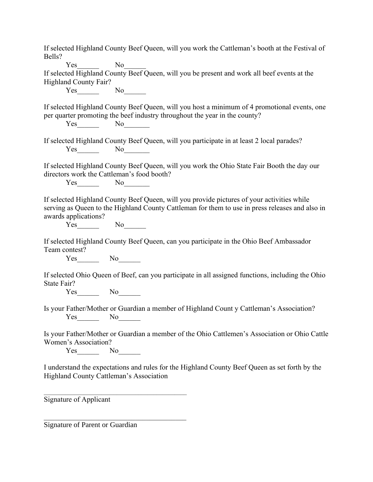If selected Highland County Beef Queen, will you work the Cattleman's booth at the Festival of Bells? Yes No If selected Highland County Beef Queen, will you be present and work all beef events at the Highland County Fair? Yes No\_\_\_\_\_\_\_ If selected Highland County Beef Queen, will you host a minimum of 4 promotional events, one per quarter promoting the beef industry throughout the year in the county? Yes No If selected Highland County Beef Queen, will you participate in at least 2 local parades? Yes No If selected Highland County Beef Queen, will you work the Ohio State Fair Booth the day our directors work the Cattleman's food booth? Yes No If selected Highland County Beef Queen, will you provide pictures of your activities while serving as Queen to the Highland County Cattleman for them to use in press releases and also in awards applications? Yes No If selected Highland County Beef Queen, can you participate in the Ohio Beef Ambassador Team contest? Yes No If selected Ohio Queen of Beef, can you participate in all assigned functions, including the Ohio State Fair?  $Yes$  No $\qquad$ Is your Father/Mother or Guardian a member of Highland Count y Cattleman's Association? Yes No Is your Father/Mother or Guardian a member of the Ohio Cattlemen's Association or Ohio Cattle Women's Association? Yes No I understand the expectations and rules for the Highland County Beef Queen as set forth by the Highland County Cattleman's Association Signature of Applicant  $\mathcal{L}_\text{max}$  and  $\mathcal{L}_\text{max}$  and  $\mathcal{L}_\text{max}$  and  $\mathcal{L}_\text{max}$ 

Signature of Parent or Guardian